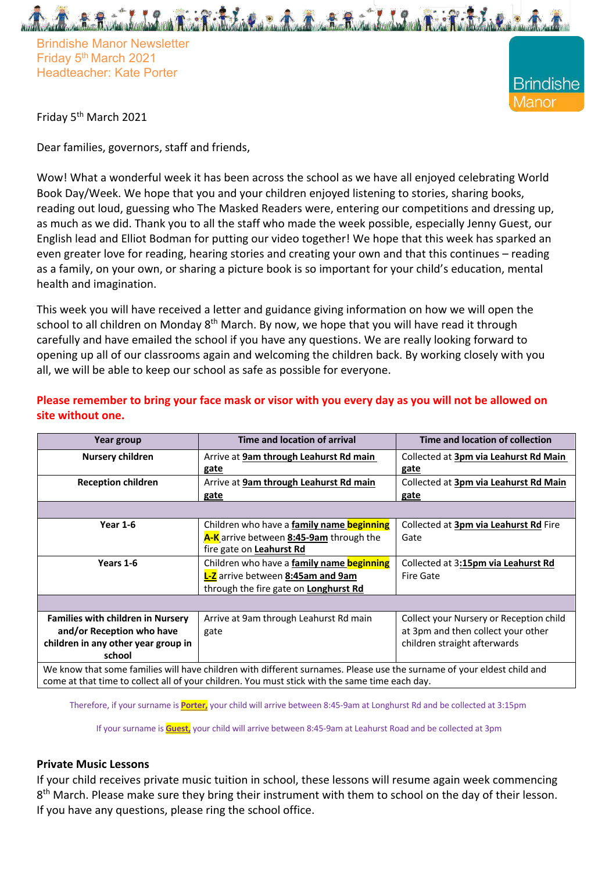Brindishe Manor Newsletter Friday 5<sup>th</sup> March 2021 Headteacher: Kate Porter



Friday 5th March 2021

Dear families, governors, staff and friends,

Wow! What a wonderful week it has been across the school as we have all enjoyed celebrating World Book Day/Week. We hope that you and your children enjoyed listening to stories, sharing books, reading out loud, guessing who The Masked Readers were, entering our competitions and dressing up, as much as we did. Thank you to all the staff who made the week possible, especially Jenny Guest, our English lead and Elliot Bodman for putting our video together! We hope that this week has sparked an even greater love for reading, hearing stories and creating your own and that this continues – reading as a family, on your own, or sharing a picture book is so important for your child's education, mental health and imagination.

This week you will have received a letter and guidance giving information on how we will open the school to all children on Monday 8<sup>th</sup> March. By now, we hope that you will have read it through carefully and have emailed the school if you have any questions. We are really looking forward to opening up all of our classrooms again and welcoming the children back. By working closely with you all, we will be able to keep our school as safe as possible for everyone.

| Year group                                                                                                             | Time and location of arrival                     | Time and location of collection              |
|------------------------------------------------------------------------------------------------------------------------|--------------------------------------------------|----------------------------------------------|
| <b>Nursery children</b>                                                                                                | Arrive at 9am through Leahurst Rd main           | Collected at 3pm via Leahurst Rd Main        |
|                                                                                                                        | gate                                             | gate                                         |
| <b>Reception children</b>                                                                                              | Arrive at 9am through Leahurst Rd main           | Collected at <b>3pm via Leahurst Rd Main</b> |
|                                                                                                                        | gate                                             | gate                                         |
|                                                                                                                        |                                                  |                                              |
| <b>Year 1-6</b>                                                                                                        | Children who have a family name beginning        | Collected at 3pm via Leahurst Rd Fire        |
|                                                                                                                        | A-K arrive between 8:45-9am through the          | Gate                                         |
|                                                                                                                        | fire gate on Leahurst Rd                         |                                              |
| Years 1-6                                                                                                              | Children who have a <b>family name beginning</b> | Collected at 3:15pm via Leahurst Rd          |
|                                                                                                                        | <b>L-Z</b> arrive between 8:45am and 9am         | <b>Fire Gate</b>                             |
|                                                                                                                        | through the fire gate on Longhurst Rd            |                                              |
|                                                                                                                        |                                                  |                                              |
| <b>Families with children in Nursery</b>                                                                               | Arrive at 9am through Leahurst Rd main           | Collect your Nursery or Reception child      |
| and/or Reception who have                                                                                              | gate                                             | at 3pm and then collect your other           |
| children in any other year group in                                                                                    |                                                  | children straight afterwards                 |
| school                                                                                                                 |                                                  |                                              |
| We know that some families will have children with different surnames. Please use the surname of your eldest child and |                                                  |                                              |
| come at that time to collect all of your children. You must stick with the same time each day.                         |                                                  |                                              |

**Please remember to bring your face mask or visor with you every day as you will not be allowed on site without one.**

Therefore, if your surname is **Porter,** your child will arrive between 8:45-9am at Longhurst Rd and be collected at 3:15pm

If your surname is **Guest,** your child will arrive between 8:45-9am at Leahurst Road and be collected at 3pm

## **Private Music Lessons**

If your child receives private music tuition in school, these lessons will resume again week commencing 8<sup>th</sup> March. Please make sure they bring their instrument with them to school on the day of their lesson. If you have any questions, please ring the school office.